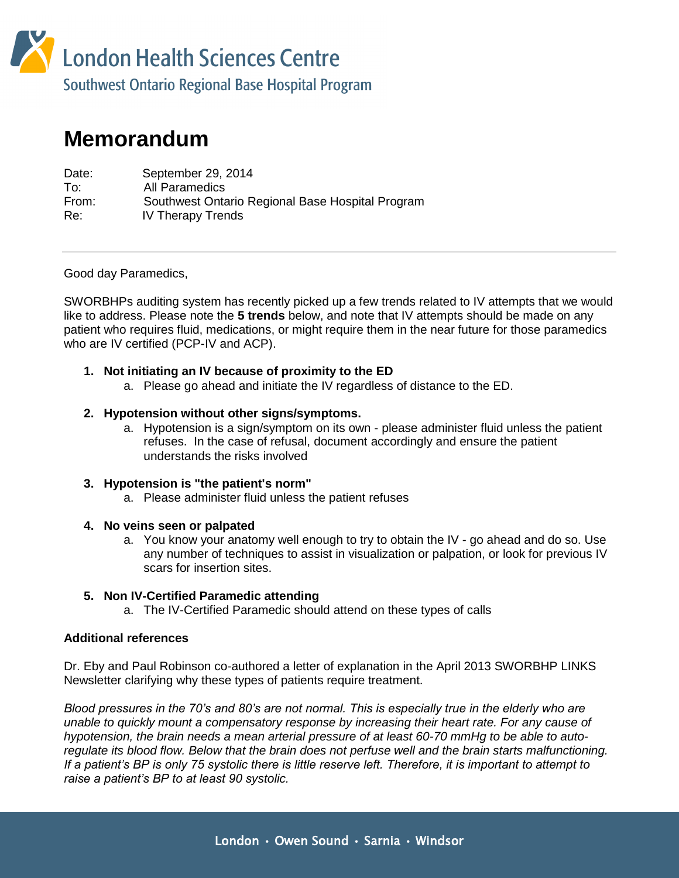

# **Memorandum**

| Date: | September 29, 2014                               |
|-------|--------------------------------------------------|
| To:   | All Paramedics                                   |
| From: | Southwest Ontario Regional Base Hospital Program |
| Re:   | <b>IV Therapy Trends</b>                         |

Good day Paramedics,

SWORBHPs auditing system has recently picked up a few trends related to IV attempts that we would like to address. Please note the **5 trends** below, and note that IV attempts should be made on any patient who requires fluid, medications, or might require them in the near future for those paramedics who are IV certified (PCP-IV and ACP).

## **1. Not initiating an IV because of proximity to the ED**

a. Please go ahead and initiate the IV regardless of distance to the ED.

#### **2. Hypotension without other signs/symptoms.**

a. Hypotension is a sign/symptom on its own - please administer fluid unless the patient refuses. In the case of refusal, document accordingly and ensure the patient understands the risks involved

## **3. Hypotension is "the patient's norm"**

a. Please administer fluid unless the patient refuses

#### **4. No veins seen or palpated**

a. You know your anatomy well enough to try to obtain the IV - go ahead and do so. Use any number of techniques to assist in visualization or palpation, or look for previous IV scars for insertion sites.

## **5. Non IV-Certified Paramedic attending**

a. The IV-Certified Paramedic should attend on these types of calls

## **Additional references**

Dr. Eby and Paul Robinson co-authored a letter of explanation in the April 2013 SWORBHP LINKS Newsletter clarifying why these types of patients require treatment.

*Blood pressures in the 70's and 80's are not normal. This is especially true in the elderly who are unable to quickly mount a compensatory response by increasing their heart rate. For any cause of hypotension, the brain needs a mean arterial pressure of at least 60-70 mmHg to be able to autoregulate its blood flow. Below that the brain does not perfuse well and the brain starts malfunctioning. If a patient's BP is only 75 systolic there is little reserve left. Therefore, it is important to attempt to raise a patient's BP to at least 90 systolic.*